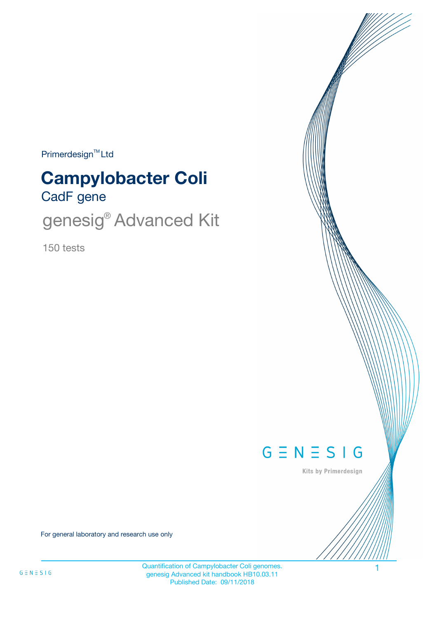Primerdesign<sup>™</sup>Ltd

# CadF gene **Campylobacter Coli**

genesig<sup>®</sup> Advanced Kit

150 tests



Kits by Primerdesign

For general laboratory and research use only

Quantification of Campylobacter Coli genomes. 1 genesig Advanced kit handbook HB10.03.11 Published Date: 09/11/2018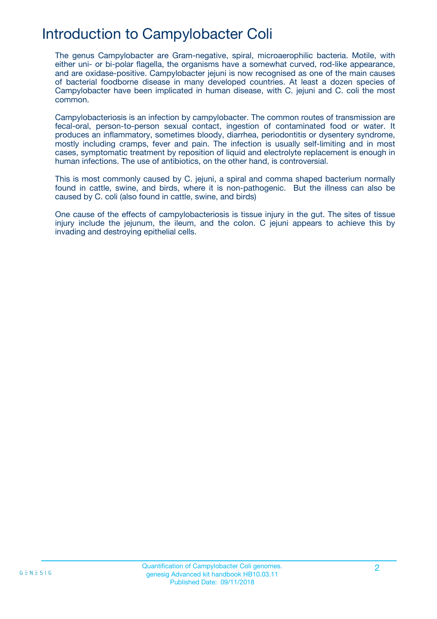## Introduction to Campylobacter Coli

The genus Campylobacter are Gram-negative, spiral, microaerophilic bacteria. Motile, with either uni- or bi-polar flagella, the organisms have a somewhat curved, rod-like appearance, and are oxidase-positive. Campylobacter jejuni is now recognised as one of the main causes of bacterial foodborne disease in many developed countries. At least a dozen species of Campylobacter have been implicated in human disease, with C. jejuni and C. coli the most common.

Campylobacteriosis is an infection by campylobacter. The common routes of transmission are fecal-oral, person-to-person sexual contact, ingestion of contaminated food or water. It produces an inflammatory, sometimes bloody, diarrhea, periodontitis or dysentery syndrome, mostly including cramps, fever and pain. The infection is usually self-limiting and in most cases, symptomatic treatment by reposition of liquid and electrolyte replacement is enough in human infections. The use of antibiotics, on the other hand, is controversial.

This is most commonly caused by C. jejuni, a spiral and comma shaped bacterium normally found in cattle, swine, and birds, where it is non-pathogenic. But the illness can also be caused by C. coli (also found in cattle, swine, and birds)

One cause of the effects of campylobacteriosis is tissue injury in the gut. The sites of tissue injury include the jejunum, the ileum, and the colon. C jejuni appears to achieve this by invading and destroying epithelial cells.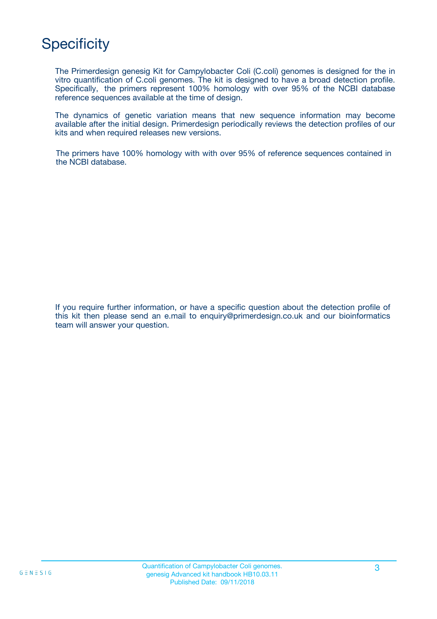# **Specificity**

The Primerdesign genesig Kit for Campylobacter Coli (C.coli) genomes is designed for the in vitro quantification of C.coli genomes. The kit is designed to have a broad detection profile. Specifically, the primers represent 100% homology with over 95% of the NCBI database reference sequences available at the time of design.

The dynamics of genetic variation means that new sequence information may become available after the initial design. Primerdesign periodically reviews the detection profiles of our kits and when required releases new versions.

The primers have 100% homology with with over 95% of reference sequences contained in the NCBI database.

If you require further information, or have a specific question about the detection profile of this kit then please send an e.mail to enquiry@primerdesign.co.uk and our bioinformatics team will answer your question.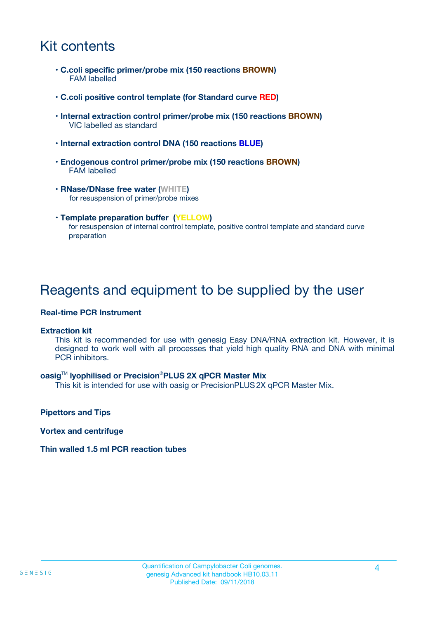## Kit contents

- **C.coli specific primer/probe mix (150 reactions BROWN)** FAM labelled
- **C.coli positive control template (for Standard curve RED)**
- **Internal extraction control primer/probe mix (150 reactions BROWN)** VIC labelled as standard
- **Internal extraction control DNA (150 reactions BLUE)**
- **Endogenous control primer/probe mix (150 reactions BROWN)** FAM labelled
- **RNase/DNase free water (WHITE)** for resuspension of primer/probe mixes
- **Template preparation buffer (YELLOW)** for resuspension of internal control template, positive control template and standard curve preparation

### Reagents and equipment to be supplied by the user

#### **Real-time PCR Instrument**

#### **Extraction kit**

This kit is recommended for use with genesig Easy DNA/RNA extraction kit. However, it is designed to work well with all processes that yield high quality RNA and DNA with minimal PCR inhibitors.

#### **oasig**TM **lyophilised or Precision**®**PLUS 2X qPCR Master Mix**

This kit is intended for use with oasig or PrecisionPLUS2X qPCR Master Mix.

**Pipettors and Tips**

**Vortex and centrifuge**

#### **Thin walled 1.5 ml PCR reaction tubes**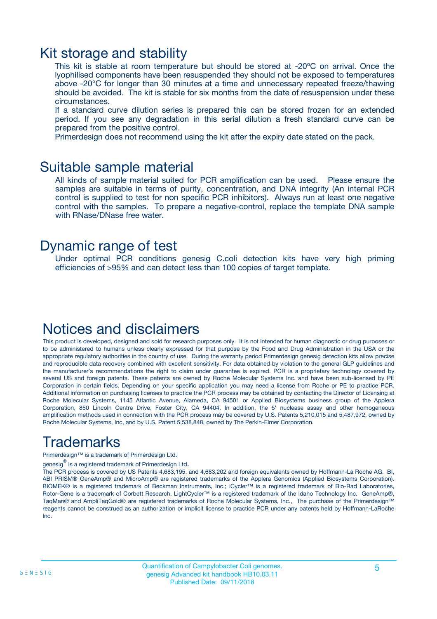### Kit storage and stability

This kit is stable at room temperature but should be stored at -20ºC on arrival. Once the lyophilised components have been resuspended they should not be exposed to temperatures above -20°C for longer than 30 minutes at a time and unnecessary repeated freeze/thawing should be avoided. The kit is stable for six months from the date of resuspension under these circumstances.

If a standard curve dilution series is prepared this can be stored frozen for an extended period. If you see any degradation in this serial dilution a fresh standard curve can be prepared from the positive control.

Primerdesign does not recommend using the kit after the expiry date stated on the pack.

### Suitable sample material

All kinds of sample material suited for PCR amplification can be used. Please ensure the samples are suitable in terms of purity, concentration, and DNA integrity (An internal PCR control is supplied to test for non specific PCR inhibitors). Always run at least one negative control with the samples. To prepare a negative-control, replace the template DNA sample with RNase/DNase free water.

### Dynamic range of test

Under optimal PCR conditions genesig C.coli detection kits have very high priming efficiencies of >95% and can detect less than 100 copies of target template.

## Notices and disclaimers

This product is developed, designed and sold for research purposes only. It is not intended for human diagnostic or drug purposes or to be administered to humans unless clearly expressed for that purpose by the Food and Drug Administration in the USA or the appropriate regulatory authorities in the country of use. During the warranty period Primerdesign genesig detection kits allow precise and reproducible data recovery combined with excellent sensitivity. For data obtained by violation to the general GLP guidelines and the manufacturer's recommendations the right to claim under guarantee is expired. PCR is a proprietary technology covered by several US and foreign patents. These patents are owned by Roche Molecular Systems Inc. and have been sub-licensed by PE Corporation in certain fields. Depending on your specific application you may need a license from Roche or PE to practice PCR. Additional information on purchasing licenses to practice the PCR process may be obtained by contacting the Director of Licensing at Roche Molecular Systems, 1145 Atlantic Avenue, Alameda, CA 94501 or Applied Biosystems business group of the Applera Corporation, 850 Lincoln Centre Drive, Foster City, CA 94404. In addition, the 5' nuclease assay and other homogeneous amplification methods used in connection with the PCR process may be covered by U.S. Patents 5,210,015 and 5,487,972, owned by Roche Molecular Systems, Inc, and by U.S. Patent 5,538,848, owned by The Perkin-Elmer Corporation.

## Trademarks

Primerdesign™ is a trademark of Primerdesign Ltd.

genesig $^\circledR$  is a registered trademark of Primerdesign Ltd.

The PCR process is covered by US Patents 4,683,195, and 4,683,202 and foreign equivalents owned by Hoffmann-La Roche AG. BI, ABI PRISM® GeneAmp® and MicroAmp® are registered trademarks of the Applera Genomics (Applied Biosystems Corporation). BIOMEK® is a registered trademark of Beckman Instruments, Inc.; iCycler™ is a registered trademark of Bio-Rad Laboratories, Rotor-Gene is a trademark of Corbett Research. LightCycler™ is a registered trademark of the Idaho Technology Inc. GeneAmp®, TaqMan® and AmpliTaqGold® are registered trademarks of Roche Molecular Systems, Inc., The purchase of the Primerdesign™ reagents cannot be construed as an authorization or implicit license to practice PCR under any patents held by Hoffmann-LaRoche Inc.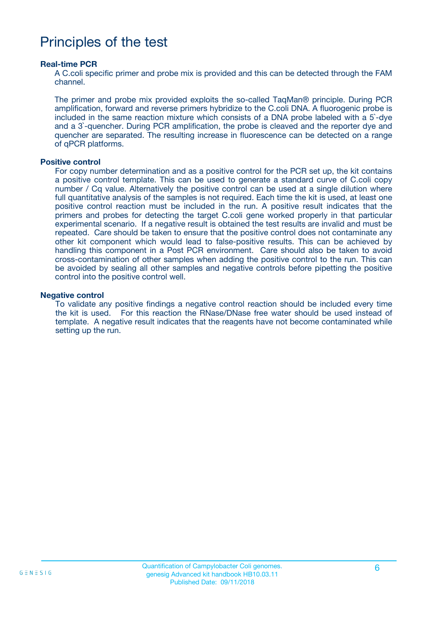### Principles of the test

#### **Real-time PCR**

A C.coli specific primer and probe mix is provided and this can be detected through the FAM channel.

The primer and probe mix provided exploits the so-called TaqMan® principle. During PCR amplification, forward and reverse primers hybridize to the C.coli DNA. A fluorogenic probe is included in the same reaction mixture which consists of a DNA probe labeled with a 5`-dye and a 3`-quencher. During PCR amplification, the probe is cleaved and the reporter dye and quencher are separated. The resulting increase in fluorescence can be detected on a range of qPCR platforms.

#### **Positive control**

For copy number determination and as a positive control for the PCR set up, the kit contains a positive control template. This can be used to generate a standard curve of C.coli copy number / Cq value. Alternatively the positive control can be used at a single dilution where full quantitative analysis of the samples is not required. Each time the kit is used, at least one positive control reaction must be included in the run. A positive result indicates that the primers and probes for detecting the target C.coli gene worked properly in that particular experimental scenario. If a negative result is obtained the test results are invalid and must be repeated. Care should be taken to ensure that the positive control does not contaminate any other kit component which would lead to false-positive results. This can be achieved by handling this component in a Post PCR environment. Care should also be taken to avoid cross-contamination of other samples when adding the positive control to the run. This can be avoided by sealing all other samples and negative controls before pipetting the positive control into the positive control well.

#### **Negative control**

To validate any positive findings a negative control reaction should be included every time the kit is used. For this reaction the RNase/DNase free water should be used instead of template. A negative result indicates that the reagents have not become contaminated while setting up the run.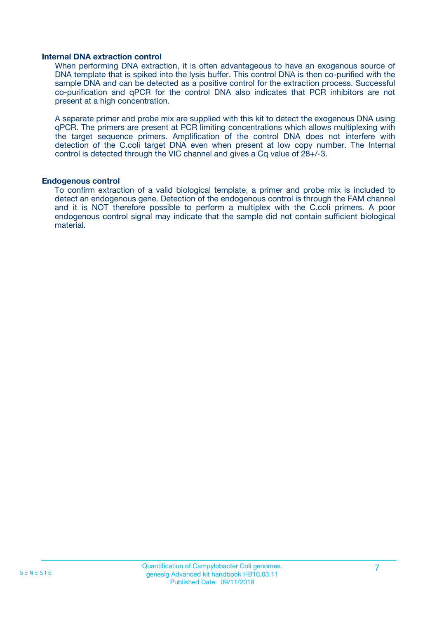#### **Internal DNA extraction control**

When performing DNA extraction, it is often advantageous to have an exogenous source of DNA template that is spiked into the lysis buffer. This control DNA is then co-purified with the sample DNA and can be detected as a positive control for the extraction process. Successful co-purification and qPCR for the control DNA also indicates that PCR inhibitors are not present at a high concentration.

A separate primer and probe mix are supplied with this kit to detect the exogenous DNA using qPCR. The primers are present at PCR limiting concentrations which allows multiplexing with the target sequence primers. Amplification of the control DNA does not interfere with detection of the C.coli target DNA even when present at low copy number. The Internal control is detected through the VIC channel and gives a Cq value of 28+/-3.

#### **Endogenous control**

To confirm extraction of a valid biological template, a primer and probe mix is included to detect an endogenous gene. Detection of the endogenous control is through the FAM channel and it is NOT therefore possible to perform a multiplex with the C.coli primers. A poor endogenous control signal may indicate that the sample did not contain sufficient biological material.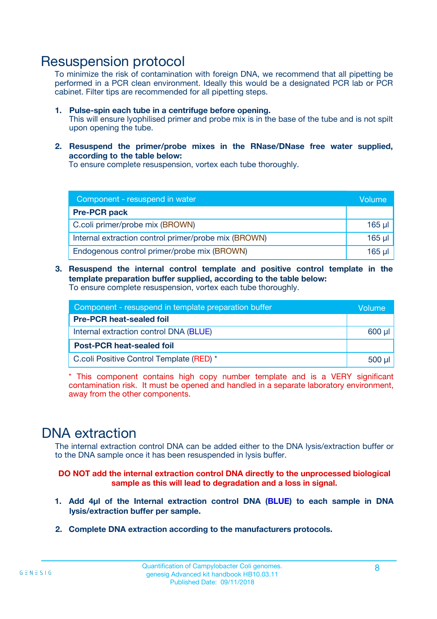### Resuspension protocol

To minimize the risk of contamination with foreign DNA, we recommend that all pipetting be performed in a PCR clean environment. Ideally this would be a designated PCR lab or PCR cabinet. Filter tips are recommended for all pipetting steps.

- **1. Pulse-spin each tube in a centrifuge before opening.** This will ensure lyophilised primer and probe mix is in the base of the tube and is not spilt upon opening the tube.
- **2. Resuspend the primer/probe mixes in the RNase/DNase free water supplied, according to the table below:**

To ensure complete resuspension, vortex each tube thoroughly.

| Component - resuspend in water                       |          |  |
|------------------------------------------------------|----------|--|
| <b>Pre-PCR pack</b>                                  |          |  |
| C.coli primer/probe mix (BROWN)                      | $165$ µ  |  |
| Internal extraction control primer/probe mix (BROWN) | $165$ µl |  |
| Endogenous control primer/probe mix (BROWN)          | 165 µl   |  |

**3. Resuspend the internal control template and positive control template in the template preparation buffer supplied, according to the table below:** To ensure complete resuspension, vortex each tube thoroughly.

| Component - resuspend in template preparation buffer |  |  |  |
|------------------------------------------------------|--|--|--|
| <b>Pre-PCR heat-sealed foil</b>                      |  |  |  |
| Internal extraction control DNA (BLUE)               |  |  |  |
| <b>Post-PCR heat-sealed foil</b>                     |  |  |  |
| C.coli Positive Control Template (RED) *             |  |  |  |

\* This component contains high copy number template and is a VERY significant contamination risk. It must be opened and handled in a separate laboratory environment, away from the other components.

### DNA extraction

The internal extraction control DNA can be added either to the DNA lysis/extraction buffer or to the DNA sample once it has been resuspended in lysis buffer.

**DO NOT add the internal extraction control DNA directly to the unprocessed biological sample as this will lead to degradation and a loss in signal.**

- **1. Add 4µl of the Internal extraction control DNA (BLUE) to each sample in DNA lysis/extraction buffer per sample.**
- **2. Complete DNA extraction according to the manufacturers protocols.**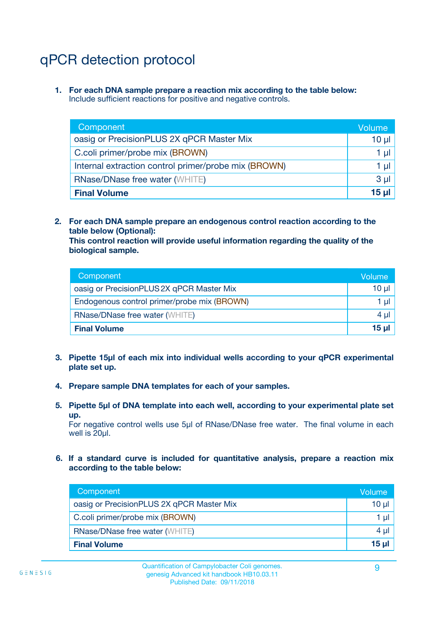# qPCR detection protocol

**1. For each DNA sample prepare a reaction mix according to the table below:** Include sufficient reactions for positive and negative controls.

| Component                                            | Volume   |
|------------------------------------------------------|----------|
| oasig or PrecisionPLUS 2X qPCR Master Mix            | 10 $\mu$ |
| C.coli primer/probe mix (BROWN)                      | 1 µl     |
| Internal extraction control primer/probe mix (BROWN) | 1 µl     |
| <b>RNase/DNase free water (WHITE)</b>                | $3 \mu$  |
| <b>Final Volume</b>                                  | 15 µl    |

**2. For each DNA sample prepare an endogenous control reaction according to the table below (Optional):**

**This control reaction will provide useful information regarding the quality of the biological sample.**

| Component                                   | Volume          |
|---------------------------------------------|-----------------|
| oasig or PrecisionPLUS 2X qPCR Master Mix   | $10 \mu$        |
| Endogenous control primer/probe mix (BROWN) | 1 µI            |
| <b>RNase/DNase free water (WHITE)</b>       | 4 µl            |
| <b>Final Volume</b>                         | 15 <sub>µ</sub> |

- **3. Pipette 15µl of each mix into individual wells according to your qPCR experimental plate set up.**
- **4. Prepare sample DNA templates for each of your samples.**
- **5. Pipette 5µl of DNA template into each well, according to your experimental plate set up.**

For negative control wells use 5µl of RNase/DNase free water. The final volume in each well is 20ul.

**6. If a standard curve is included for quantitative analysis, prepare a reaction mix according to the table below:**

| Component                                 | Volume |
|-------------------------------------------|--------|
| oasig or PrecisionPLUS 2X qPCR Master Mix | 10 µl  |
| C.coli primer/probe mix (BROWN)           | 1 µI   |
| <b>RNase/DNase free water (WHITE)</b>     | 4 µl   |
| <b>Final Volume</b>                       | 15 µl  |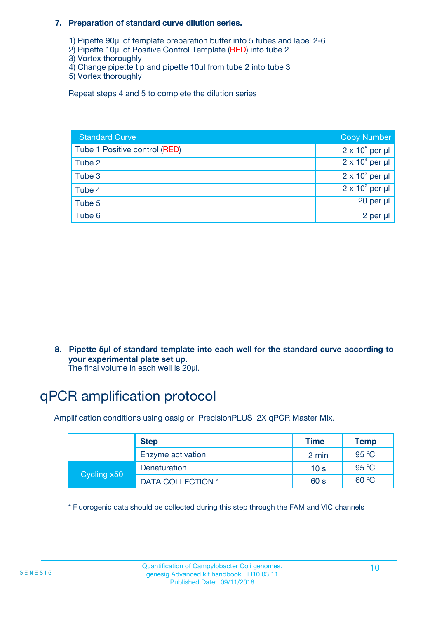#### **7. Preparation of standard curve dilution series.**

- 1) Pipette 90µl of template preparation buffer into 5 tubes and label 2-6
- 2) Pipette 10µl of Positive Control Template (RED) into tube 2
- 3) Vortex thoroughly
- 4) Change pipette tip and pipette 10µl from tube 2 into tube 3
- 5) Vortex thoroughly

Repeat steps 4 and 5 to complete the dilution series

| <b>Standard Curve</b>         | <b>Copy Number</b>     |
|-------------------------------|------------------------|
| Tube 1 Positive control (RED) | $2 \times 10^5$ per µl |
| Tube 2                        | $2 \times 10^4$ per µl |
| Tube 3                        | $2 \times 10^3$ per µl |
| Tube 4                        | $2 \times 10^2$ per µl |
| Tube 5                        | 20 per µl              |
| Tube 6                        | 2 per µl               |

**8. Pipette 5µl of standard template into each well for the standard curve according to your experimental plate set up.**

#### The final volume in each well is 20µl.

## qPCR amplification protocol

Amplification conditions using oasig or PrecisionPLUS 2X qPCR Master Mix.

|             | <b>Step</b>       | <b>Time</b>     | Temp    |
|-------------|-------------------|-----------------|---------|
|             | Enzyme activation | 2 min           | 95 °C   |
| Cycling x50 | Denaturation      | 10 <sub>s</sub> | 95 $°C$ |
|             | DATA COLLECTION * | 60 s            | 60 °C   |

\* Fluorogenic data should be collected during this step through the FAM and VIC channels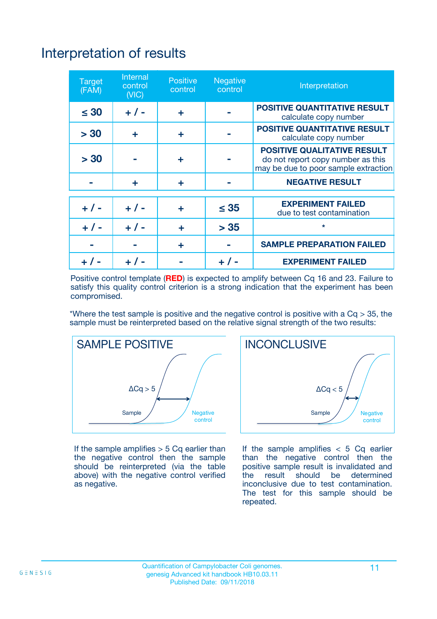# Interpretation of results

| <b>Target</b><br>(FAM) | <b>Internal</b><br>control<br>(NIC) | <b>Positive</b><br>control | <b>Negative</b><br>control | Interpretation                                                                                                  |
|------------------------|-------------------------------------|----------------------------|----------------------------|-----------------------------------------------------------------------------------------------------------------|
| $\leq 30$              | $+ 1 -$                             | ÷                          |                            | <b>POSITIVE QUANTITATIVE RESULT</b><br>calculate copy number                                                    |
| > 30                   | ٠                                   | ÷                          |                            | <b>POSITIVE QUANTITATIVE RESULT</b><br>calculate copy number                                                    |
| > 30                   |                                     | ÷                          |                            | <b>POSITIVE QUALITATIVE RESULT</b><br>do not report copy number as this<br>may be due to poor sample extraction |
|                        | ÷                                   | ÷                          |                            | <b>NEGATIVE RESULT</b>                                                                                          |
| $+ 1 -$                | $+ 1 -$                             | ÷                          | $\leq$ 35                  | <b>EXPERIMENT FAILED</b><br>due to test contamination                                                           |
| $+$ / -                | $+ 1 -$                             | ÷                          | > 35                       | $\star$                                                                                                         |
|                        |                                     | ÷                          |                            | <b>SAMPLE PREPARATION FAILED</b>                                                                                |
|                        |                                     |                            | $+$ /                      | <b>EXPERIMENT FAILED</b>                                                                                        |

Positive control template (**RED**) is expected to amplify between Cq 16 and 23. Failure to satisfy this quality control criterion is a strong indication that the experiment has been compromised.

\*Where the test sample is positive and the negative control is positive with a  $Ca > 35$ , the sample must be reinterpreted based on the relative signal strength of the two results:



If the sample amplifies  $> 5$  Cq earlier than the negative control then the sample should be reinterpreted (via the table above) with the negative control verified as negative.



If the sample amplifies  $< 5$  Cq earlier than the negative control then the positive sample result is invalidated and<br>the result should be determined  $the$  result should be inconclusive due to test contamination. The test for this sample should be repeated.